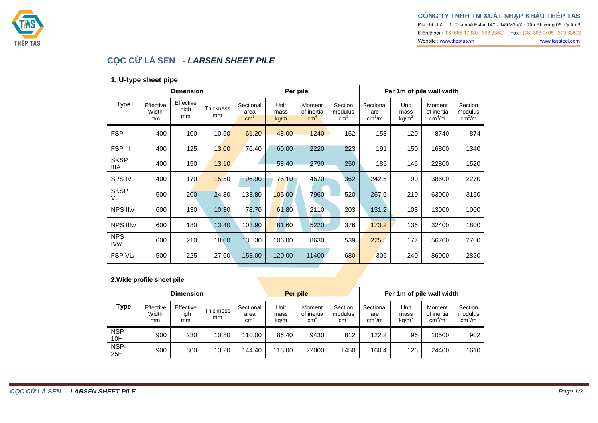

Địa chỉ : Lầu 11, Tòa nhà Estar 147 - 149 Võ Văn Tần Phường 06 Quận 3 Điện thoại: (08) 668.17230 - 393.33591 Fax: (08) 393.0405 - 393.33592 Website: www.theptas.vn www.tassteel.com



# **CỌC CỪ LÁ SEN** *- LARSEN SHEET PILE*

#### **1. U-type sheet pipe**

|                               |                          | <b>Dimension</b>        |                 |                                      | Per pile             |                                         |                                     | Per 1m of pile wall width              |                                   |                                            |                                          |  |
|-------------------------------|--------------------------|-------------------------|-----------------|--------------------------------------|----------------------|-----------------------------------------|-------------------------------------|----------------------------------------|-----------------------------------|--------------------------------------------|------------------------------------------|--|
| <b>Type</b>                   | Effective<br>Width<br>mm | Effective<br>high<br>mm | Thickness<br>mm | Sectional<br>area<br>cm <sup>2</sup> | Unit<br>mass<br>kg/m | Moment<br>of inertia<br>cm <sup>4</sup> | Section<br>modulus<br>$\text{cm}^3$ | Sectional<br>are<br>cm <sup>2</sup> /m | Unit<br>mass<br>kg/m <sup>2</sup> | Moment<br>of inertia<br>cm <sup>4</sup> /m | Section<br>modulus<br>cm <sup>3</sup> /m |  |
| FSP II                        | 400                      | 100                     | 10.50           | 61.20                                | 48.00                | 1240                                    | 152                                 | 153                                    | 120                               | 8740                                       | 874                                      |  |
| FSP III                       | 400                      | 125                     | 13.00           | 76.40                                | 60.00                | 2220                                    | 223                                 | 191                                    | 150                               | 16800                                      | 1340                                     |  |
| <b>SKSP</b><br>IIIA           | 400                      | 150                     | 13.10           |                                      | 58.40                | 2790                                    | 250                                 | 186                                    | 146                               | 22800                                      | 1520                                     |  |
| SPS IV                        | 400                      | 170                     | 15.50           | 96.90                                | 76.10                | 4670                                    | 362                                 | 242.5                                  | 190                               | 38600                                      | 2270                                     |  |
| <b>SKSP</b><br>VL             | 500                      | 200                     | 24.30           | 133.80                               | 105.00               | 7960                                    | 520                                 | 267.6                                  | 210                               | 63000                                      | 3150                                     |  |
| <b>NPS IIw</b>                | 600                      | 130                     | 10.30           | 78.70                                | 61.80                | 2110                                    | 203                                 | 131.2                                  | 103                               | 13000                                      | 1000                                     |  |
| <b>NPS IIIw</b>               | 600                      | 180                     | 13.40           | 103.90                               | 81.60                | 5220                                    | 376                                 | 173.2                                  | 136                               | 32400                                      | 1800                                     |  |
| <b>NPS</b><br>IV <sub>w</sub> | 600                      | 210                     | 18.00           | 135.30                               | 106.00               | 8630                                    | 539                                 | 225.5                                  | 177                               | 56700                                      | 2700                                     |  |
| FSP VLL                       | 500                      | 225                     | 27.60           | 153.00                               | 120.00               | 11400                                   | 680                                 | 306                                    | 240                               | 86000                                      | 2820                                     |  |

#### **2.Wide profile sheet pile**

|             |                          | <b>Dimension</b>        |                 |                                      |                      | Per pile                   |                                       | Per 1m of pile wall width              |                                   |                                            |                                              |  |
|-------------|--------------------------|-------------------------|-----------------|--------------------------------------|----------------------|----------------------------|---------------------------------------|----------------------------------------|-----------------------------------|--------------------------------------------|----------------------------------------------|--|
| Type        | Effective<br>Width<br>mm | Effective<br>high<br>mm | Thickness<br>mm | Sectional<br>area<br>cm <sup>2</sup> | Unit<br>mass<br>kg/m | Moment<br>of inertia<br>cm | Section<br>modulus<br>cm <sup>3</sup> | Sectional<br>are<br>cm <sup>2</sup> /m | Unit<br>mass<br>kg/m <sup>2</sup> | Moment<br>of inertia<br>cm <sup>4</sup> /m | Section<br>modulus<br>$\text{cm}^3/\text{m}$ |  |
| NSP-<br>10H | 900                      | 230                     | 10.80           | 110.00                               | 86.40                | 9430                       | 812                                   | 122.2                                  | 96                                | 10500                                      | 902                                          |  |
| NSP-<br>25H | 900                      | 300                     | 13.20           | 144.40                               | 113.00               | 22000                      | 1450                                  | 160.4                                  | 126                               | 24400                                      | 1610                                         |  |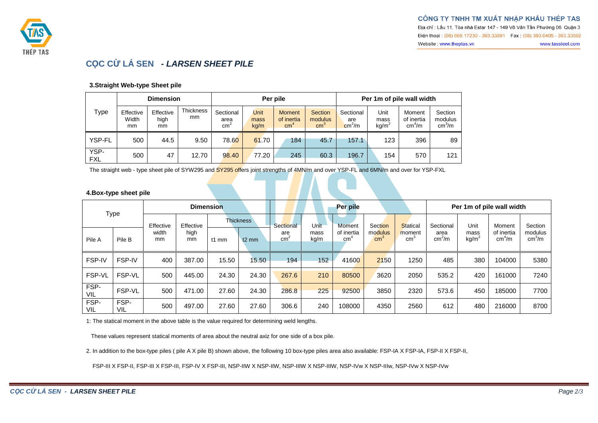

www.tassteel.com

Website: www.theptas.vn



### **CỌC CỪ LÁ SEN** *- LARSEN SHEET PILE*

#### **3.Straight Web-type Sheet pile**

|                    | <b>Dimension</b>         |                         |                        |                                    | Per pile             |                                   |                                     | Per 1m of pile wall width                  |                                   |                                            |                                          |  |
|--------------------|--------------------------|-------------------------|------------------------|------------------------------------|----------------------|-----------------------------------|-------------------------------------|--------------------------------------------|-----------------------------------|--------------------------------------------|------------------------------------------|--|
| <b>Type</b>        | Effective<br>Width<br>mm | Effective<br>high<br>mm | <b>Thickness</b><br>mm | Sectional<br>area<br>$\text{cm}^2$ | Unit<br>mass<br>kq/m | <b>Moment</b><br>of inertia<br>cm | Section<br>modulus<br>$\text{cm}^3$ | Sectional<br>are<br>$\text{cm}^2/\text{m}$ | Unit<br>mass<br>kg/m <sup>2</sup> | Moment<br>of inertia<br>cm <sup>4</sup> /m | Section<br>modulus<br>cm <sup>3</sup> /m |  |
| YSP-FL             | 500                      | 44.5                    | 9.50                   | 78.60                              | 61.70                | 184                               | 45.7                                | 157.1                                      | 123                               | 396                                        | 89                                       |  |
| YSP-<br><b>FXL</b> | 500                      | 47                      | 12.70                  | 98.40                              | 77.20                | 245                               | 60.3                                | 196.7                                      | 154                               | 570                                        | 121                                      |  |

The straight web - type sheet pile of SYW295 and SY295 offers joint strengths of 4MN/m and over YSP-FL and 6MN/m and over for YSP-FXL

#### **4.Box-type sheet pile**

| <b>Type</b> |               |             | <b>Dimension</b> |                  |         | Per pile               |              |                               |                            |                           | Per 1m of pile wall width  |                           |                                  |                               |
|-------------|---------------|-------------|------------------|------------------|---------|------------------------|--------------|-------------------------------|----------------------------|---------------------------|----------------------------|---------------------------|----------------------------------|-------------------------------|
|             |               | Effective   | Effective        | <b>Thickness</b> |         | Sectional              | Unit         | <b>Moment</b>                 | Section                    | <b>Statical</b>           | Sectional                  | Unit                      | Moment                           | Section                       |
| Pile A      | Pile B        | width<br>mm | high<br>mm       | $t1$ mm          | $t2$ mm | are<br>cm <sup>2</sup> | mass<br>kg/m | of inertia<br>cm <sup>4</sup> | modulus<br>cm <sup>3</sup> | moment<br>cm <sup>3</sup> | area<br>cm <sup>2</sup> /m | mass<br>kg/m <sup>2</sup> | of inertia<br>cm <sup>4</sup> /m | modulus<br>cm <sup>3</sup> /m |
| FSP-IV      | FSP-IV        | 400         | 387.00           | 15.50            | 15.50   | 194                    | 152          | 41600                         | 2150                       | 1250                      | 485                        | 380                       | 104000                           | 5380                          |
| FSP-VL      | FSP-VL        | 500         | 445.00           | 24.30            | 24.30   | 267.6                  | 210          | 80500                         | 3620                       | 2050                      | 535.2                      | 420                       | 161000                           | 7240                          |
| FSP-<br>VIL | <b>FSP-VL</b> | 500         | 471.00           | 27.60            | 24.30   | 286.8                  | 225          | 92500                         | 3850                       | 2320                      | 573.6                      | 450                       | 185000                           | 7700                          |
| FSP-<br>VIL | FSP-<br>VIL   | 500         | 497.00           | 27.60            | 27.60   | 306.6                  | 240          | 108000                        | 4350                       | 2560                      | 612                        | 480                       | 216000                           | 8700                          |

1: The statical moment in the above table is the value required for determining weld lengths.

These values represent statical moments of area about the neutral axiz for one side of a box pile.

2. In addition to the box-type piles ( pile A X pile B) shown above, the following 10 box-type piles area also available: FSP-IA X FSP-IA, FSP-II X FSP-II,

FSP-III X FSP-II, FSP-III X FSP-III, FSP-IV X FSP-III, NSP-IIW X NSP-IIW, NSP-IIIW X NSP-IIIW, NSP-IVw X NSP-IIIw, NSP-IVw X NSP-IVw